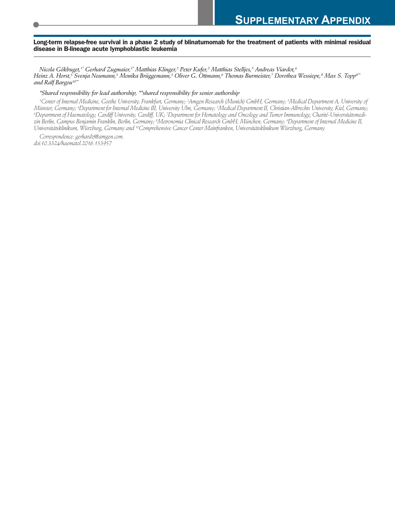#### Long-term relapse-free survival in a phase 2 study of blinatumomab for the treatment of patients with minimal residual **disease in B-lineage acute lymphoblastic leukemia**

Nicola Gökbuget,†\* Gerhard Zugmaier,<sup>2\*</sup> Matthias Klinger,<sup>2</sup> Peter Kufer,<sup>2</sup> Matthias Stelljes,<sup>3</sup> Andreas Viardot,<sup>4</sup> Heinz A. Horst,<sup>5</sup> Svenja Neumann,<sup>5</sup> Monika Brüggemann,<sup>5</sup> Oliver G. Ottmann,<sup>6</sup> Thomas Burmeister,7 Dorothea Wessiepe,<sup>8</sup> Max S. Topp<sup>o</sup>" *and Ralf Bargou10\*\**

#### *\*Shared responsibility for lead authorship, \*\*shared responsibility for senior authorship*

'Center of Internal Medicine, Goethe University, Frankfurt, Germany; <sup>2</sup>Amgen Research (Munich) GmbH, Germany; <sup>3</sup>Medical Department A, University o<sub>l</sub> Münster, Germany; <sup>4</sup>Department for Internal Medicine III, University Ulm, Germany; <sup>5</sup>Medical Department II, Christian-Albrechts University, Kiel, Germany; <sup>6</sup>Department of Haematology, Cardiff University, Cardiff, UK; 7Department for Hematology and Oncology and Tumor Immunology, Charité-Universitätsmedizin Berlin, Campus Benjamin Franklin, Berlin, Germany; <sup>s</sup>Metronomia Clinical Research GmbH, München, Germany; <sup>9</sup>Department of Internal Medicine II, *Universitätsklinikum, Würzburg, Germany and <sup>10</sup> Comprehensive Cancer Center Mainfranken, Universitätsklinikum Würzburg, Germany*

*Correspondence: gerhardz@amgen.com. doi:10.3324/haematol.2016.153957*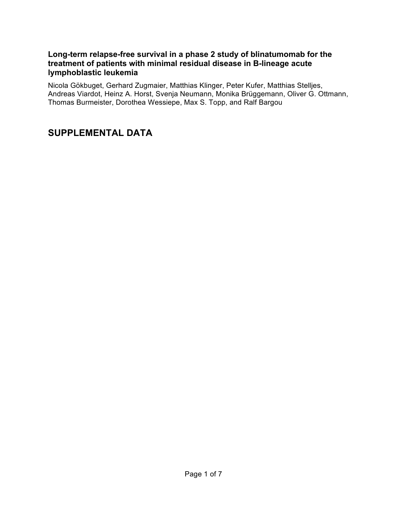### **Long-term relapse-free survival in a phase 2 study of blinatumomab for the treatment of patients with minimal residual disease in B-lineage acute lymphoblastic leukemia**

Nicola Gökbuget, Gerhard Zugmaier, Matthias Klinger, Peter Kufer, Matthias Stelljes, Andreas Viardot, Heinz A. Horst, Svenja Neumann, Monika Brüggemann, Oliver G. Ottmann, Thomas Burmeister, Dorothea Wessiepe, Max S. Topp, and Ralf Bargou

# **SUPPLEMENTAL DATA**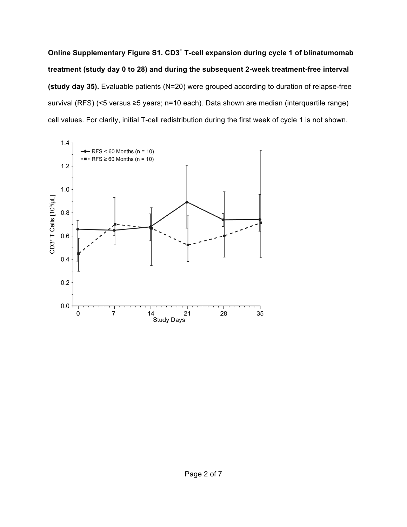**Online Supplementary Figure S1. CD3<sup>+</sup> T-cell expansion during cycle 1 of blinatumomab treatment (study day 0 to 28) and during the subsequent 2-week treatment-free interval (study day 35).** Evaluable patients (N=20) were grouped according to duration of relapse-free survival (RFS) (<5 versus ≥5 years; n=10 each). Data shown are median (interquartile range) cell values. For clarity, initial T-cell redistribution during the first week of cycle 1 is not shown.

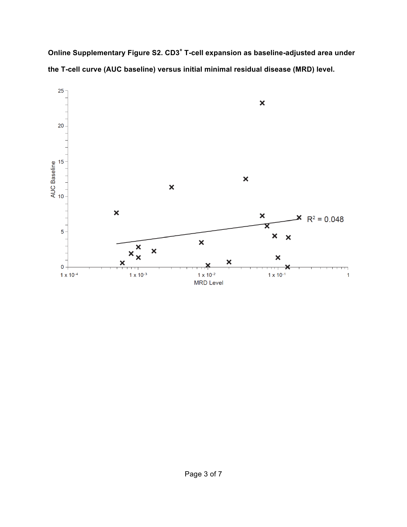**Online Supplementary Figure S2. CD3<sup>+</sup> T-cell expansion as baseline-adjusted area under the T-cell curve (AUC baseline) versus initial minimal residual disease (MRD) level.**

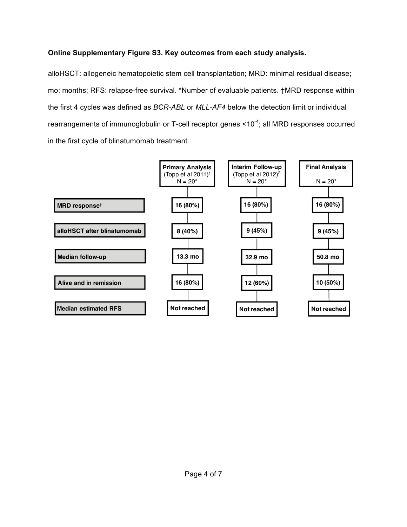## **Online Supplementary Figure S3. Key outcomes from each study analysis.**

alloHSCT: allogeneic hematopoietic stem cell transplantation; MRD: minimal residual disease; mo: months; RFS: relapse-free survival. \*Number of evaluable patients. †MRD response within the first 4 cycles was defined as *BCR-ABL* or *MLL-AF4* below the detection limit or individual rearrangements of immunoglobulin or T-cell receptor genes <10<sup>-4</sup>; all MRD responses occurred in the first cycle of blinatumomab treatment.

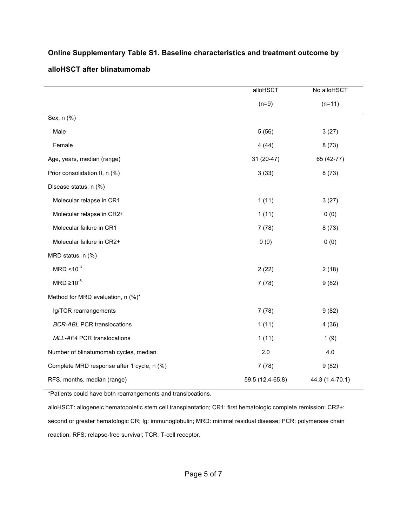|                                            | alloHSCT         | No alloHSCT     |
|--------------------------------------------|------------------|-----------------|
|                                            | $(n=9)$          | $(n=11)$        |
| Sex, n (%)                                 |                  |                 |
| Male                                       | 5(56)            | 3(27)           |
| Female                                     | 4(44)            | 8(73)           |
| Age, years, median (range)                 | 31 (20-47)       | 65 (42-77)      |
| Prior consolidation II, n (%)              | 3(33)            | 8(73)           |
| Disease status, n (%)                      |                  |                 |
| Molecular relapse in CR1                   | 1(11)            | 3(27)           |
| Molecular relapse in CR2+                  | 1(11)            | 0(0)            |
| Molecular failure in CR1                   | 7(78)            | 8(73)           |
| Molecular failure in CR2+                  | 0(0)             | 0(0)            |
| MRD status, n (%)                          |                  |                 |
| $MRD < 10^{-3}$                            | 2(22)            | 2(18)           |
| $MRD \ge 10^{-3}$                          | 7(78)            | 9(82)           |
| Method for MRD evaluation, n (%)*          |                  |                 |
| Ig/TCR rearrangements                      | 7(78)            | 9(82)           |
| <b>BCR-ABL PCR translocations</b>          | 1(11)            | 4(36)           |
| MLL-AF4 PCR translocations                 | 1(11)            | 1(9)            |
| Number of blinatumomab cycles, median      | 2.0              | 4.0             |
| Complete MRD response after 1 cycle, n (%) | 7(78)            | 9(82)           |
| RFS, months, median (range)                | 59.5 (12.4-65.8) | 44.3 (1.4-70.1) |

## **Online Supplementary Table S1. Baseline characteristics and treatment outcome by**

#### **alloHSCT after blinatumomab**

\*Patients could have both rearrangements and translocations.

alloHSCT: allogeneic hematopoietic stem cell transplantation; CR1: first hematologic complete remission; CR2+: second or greater hematologic CR; Ig: immunoglobulin; MRD: minimal residual disease; PCR: polymerase chain reaction; RFS: relapse-free survival; TCR: T-cell receptor.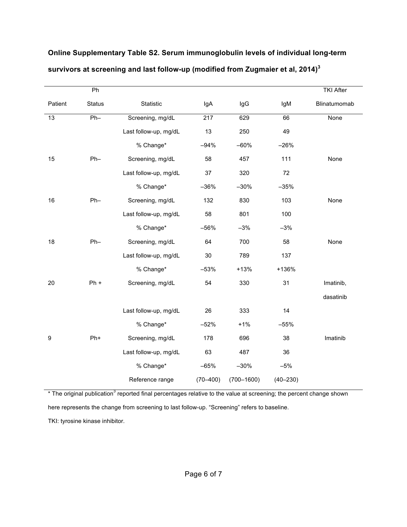|                 | Ph            |                       |              |                |              | <b>TKI After</b> |
|-----------------|---------------|-----------------------|--------------|----------------|--------------|------------------|
| Patient         | <b>Status</b> | Statistic             | IgA          | lgG            | IgM          | Blinatumomab     |
| $\overline{13}$ | $Ph-$         | Screening, mg/dL      | 217          | 629            | 66           | None             |
|                 |               | Last follow-up, mg/dL | 13           | 250            | 49           |                  |
|                 |               | % Change*             | $-94%$       | $-60%$         | $-26%$       |                  |
| 15              | $Ph-$         | Screening, mg/dL      | 58           | 457            | 111          | None             |
|                 |               | Last follow-up, mg/dL | 37           | 320            | 72           |                  |
|                 |               | % Change*             | $-36%$       | $-30%$         | $-35%$       |                  |
| 16              | $Ph-$         | Screening, mg/dL      | 132          | 830            | 103          | None             |
|                 |               | Last follow-up, mg/dL | 58           | 801            | 100          |                  |
|                 |               | % Change*             | $-56%$       | $-3%$          | $-3%$        |                  |
| 18              | $Ph-$         | Screening, mg/dL      | 64           | 700            | 58           | None             |
|                 |               | Last follow-up, mg/dL | 30           | 789            | 137          |                  |
|                 |               | % Change*             | $-53%$       | $+13%$         | +136%        |                  |
| 20              | $Ph +$        | Screening, mg/dL      | 54           | 330            | 31           | Imatinib,        |
|                 |               |                       |              |                |              | dasatinib        |
|                 |               | Last follow-up, mg/dL | 26           | 333            | 14           |                  |
|                 |               | % Change*             | $-52%$       | $+1%$          | $-55%$       |                  |
| 9               | Ph+           | Screening, mg/dL      | 178          | 696            | 38           | Imatinib         |
|                 |               | Last follow-up, mg/dL | 63           | 487            | 36           |                  |
|                 |               | % Change*             | $-65%$       | $-30%$         | $-5%$        |                  |
|                 |               | Reference range       | $(70 - 400)$ | $(700 - 1600)$ | $(40 - 230)$ |                  |

# **Online Supplementary Table S2. Serum immunoglobulin levels of individual long-term survivors at screening and last follow-up (modified from Zugmaier et al, 2014)<sup>3</sup>**

\* The original publication<sup>3</sup> reported final percentages relative to the value at screening; the percent change shown

here represents the change from screening to last follow-up. "Screening" refers to baseline.

TKI: tyrosine kinase inhibitor.